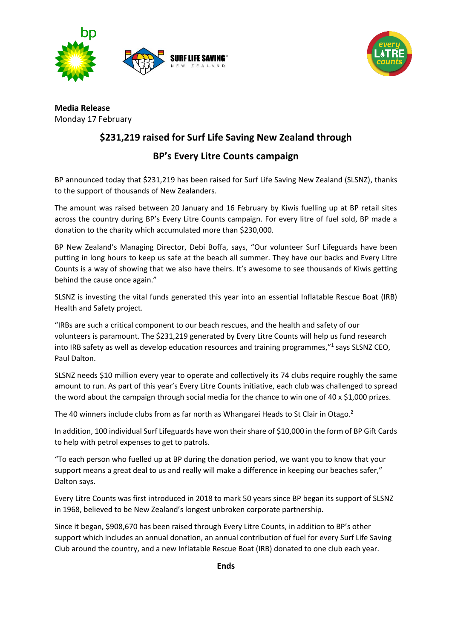



**Media Release** Monday 17 February

# **\$231,219 raised for Surf Life Saving New Zealand through**

## **BP's Every Litre Counts campaign**

BP announced today that \$231,219 has been raised for Surf Life Saving New Zealand (SLSNZ), thanks to the support of thousands of New Zealanders.

The amount was raised between 20 January and 16 February by Kiwis fuelling up at BP retail sites across the country during BP's Every Litre Counts campaign. For every litre of fuel sold, BP made a donation to the charity which accumulated more than \$230,000.

BP New Zealand's Managing Director, Debi Boffa, says, "Our volunteer Surf Lifeguards have been putting in long hours to keep us safe at the beach all summer. They have our backs and Every Litre Counts is a way of showing that we also have theirs. It's awesome to see thousands of Kiwis getting behind the cause once again."

SLSNZ is investing the vital funds generated this year into an essential Inflatable Rescue Boat (IRB) Health and Safety project.

"IRBs are such a critical component to our beach rescues, and the health and safety of our volunteers is paramount. The \$231,219 generated by Every Litre Counts will help us fund research into IRB safety as well as develop education resources and training programmes,"<sup>1</sup> says SLSNZ CEO, Paul Dalton.

SLSNZ needs \$10 million every year to operate and collectively its 74 clubs require roughly the same amount to run. As part of this year's Every Litre Counts initiative, each club was challenged to spread the word about the campaign through social media for the chance to win one of 40 x \$1,000 prizes.

The 40 winners include clubs from as far north as Whangarei Heads to St Clair in Otago.<sup>2</sup>

In addition, 100 individual Surf Lifeguards have won their share of \$10,000 in the form of BP Gift Cards to help with petrol expenses to get to patrols.

"To each person who fuelled up at BP during the donation period, we want you to know that your support means a great deal to us and really will make a difference in keeping our beaches safer," Dalton says.

Every Litre Counts was first introduced in 2018 to mark 50 years since BP began its support of SLSNZ in 1968, believed to be New Zealand's longest unbroken corporate partnership.

Since it began, \$908,670 has been raised through Every Litre Counts, in addition to BP's other support which includes an annual donation, an annual contribution of fuel for every Surf Life Saving Club around the country, and a new Inflatable Rescue Boat (IRB) donated to one club each year.

**Ends**